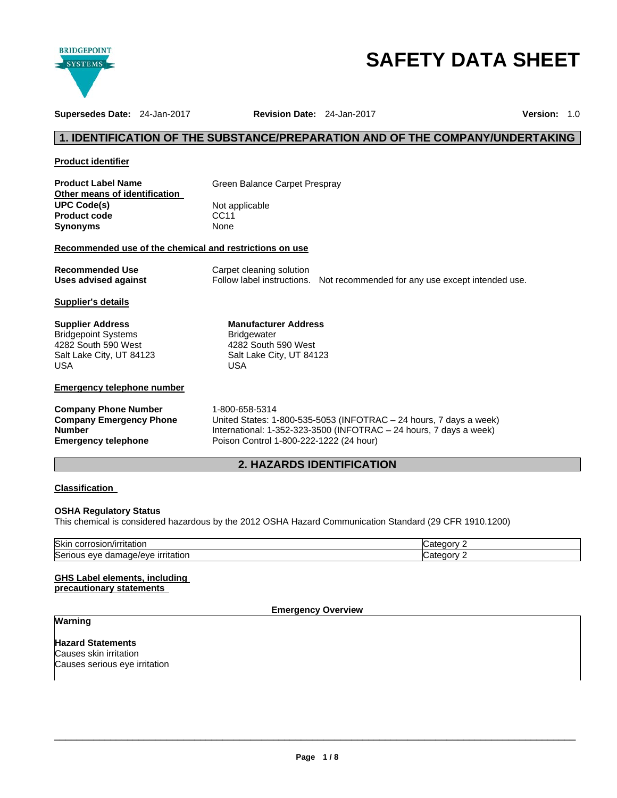

# **SAFETY DATA SHEET**

**Supersedes Date:** 24-Jan-2017 **Revision Date:** 24-Jan-2017 **Version:** 1.0

# **1. IDENTIFICATION OF THE SUBSTANCE/PREPARATION AND OF THE COMPANY/UNDERTAKING**

| <b>Product identifier</b> |  |
|---------------------------|--|
|                           |  |

| <b>Product Label Name</b>     |  |
|-------------------------------|--|
| Other means of identification |  |
| <b>UPC Code(s)</b>            |  |
| <b>Product code</b>           |  |
| Synonyms                      |  |

**Green Balance Carpet Prespray** 

**Not applicable CC11 Synonyms** None

#### **Recommended use of the chemical and restrictions on use**

| <b>Recommended Use</b> | Carpet cleaning solution |                                                                             |
|------------------------|--------------------------|-----------------------------------------------------------------------------|
| Uses advised against   |                          | Follow label instructions. Not recommended for any use except intended use. |

**Manufacturer Address**

4282 South 590 West

**Bridgewater** 

# **Supplier's details**

| Supplier Address           |
|----------------------------|
| <b>Bridgepoint Systems</b> |
| 4282 South 590 West        |
| Salt Lake City, UT 84123   |
| USA                        |

# **Emergency telephone number**

| <b>Company Phone Number</b>    |  |
|--------------------------------|--|
| <b>Company Emergency Phone</b> |  |
| <b>Number</b>                  |  |
| <b>Emergency telephone</b>     |  |

Salt Lake City, UT 84123 USA

**Company Phone Number** 1-800-658-5314 United States: 1-800-535-5053 (INFOTRAC – 24 hours, 7 days a week) International: 1-352-323-3500 (INFOTRAC – 24 hours, 7 days a week) **Emergency telephone** Poison Control 1-800-222-1222 (24 hour)

# **2. HAZARDS IDENTIFICATION**

# **Classification**

# **OSHA Regulatory Status**

This chemical is considered hazardous by the 2012 OSHA Hazard Communication Standard (29 CFR 1910.1200)

| <b>Skin</b><br>.<br>rosior<br>⊇/irritatior.<br>COLL                                  | ----<br>יי<br>1015  |
|--------------------------------------------------------------------------------------|---------------------|
| ∽<br>$\sim\sim\sim\sim$<br>Seri<br><b>irritation</b><br>e/eve<br>eve<br>dai<br>hade/ | ----<br>יי<br>10715 |

# **GHS Label elements, including**

**precautionary statements** 

# **Emergency Overview**

# **Warning**

**Hazard Statements** Causes skin irritation Causes serious eye irritation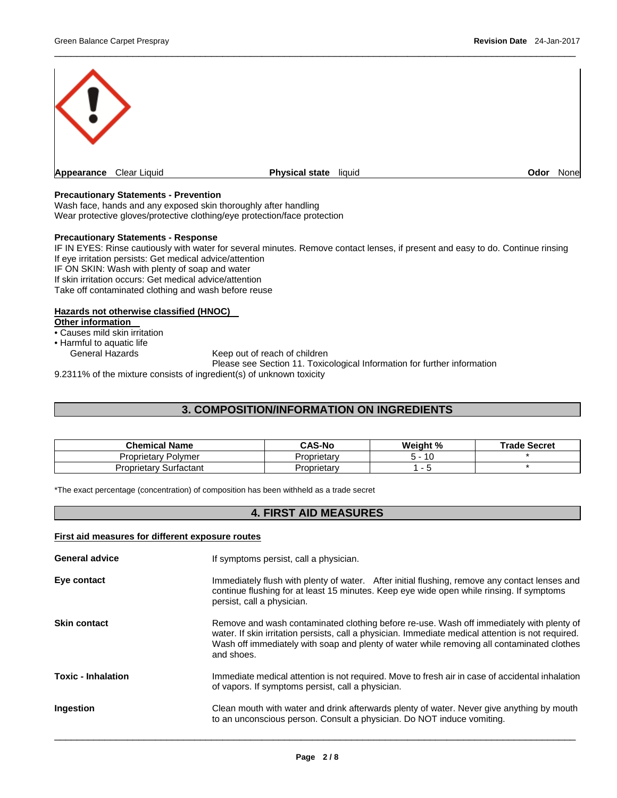

 $\overline{\phantom{a}}$  , and the set of the set of the set of the set of the set of the set of the set of the set of the set of the set of the set of the set of the set of the set of the set of the set of the set of the set of the s

# **Precautionary Statements - Prevention**

Wash face, hands and any exposed skin thoroughly after handling Wear protective gloves/protective clothing/eye protection/face protection

#### **Precautionary Statements - Response**

IF IN EYES: Rinse cautiously with water for several minutes. Remove contact lenses, if present and easy to do. Continue rinsing If eye irritation persists: Get medical advice/attention IF ON SKIN: Wash with plenty of soap and water If skin irritation occurs: Get medical advice/attention Take off contaminated clothing and wash before reuse

# **Hazards not otherwise classified (HNOC)**

**Other information** 

• Causes mild skin irritation

• Harmful to aquatic life

Keep out of reach of children

Please see Section 11. Toxicological Information for further information

9.2311% of the mixture consists of ingredient(s) of unknown toxicity

# **3. COMPOSITION/INFORMATION ON INGREDIENTS**

| <b>Chemical Name</b>      | <b>CAS-No</b> | Weight % | <b>Trade Secret</b> |
|---------------------------|---------------|----------|---------------------|
| -<br>Proprietary Polymer  | Proprietarv   | 10       |                     |
| Proprietary<br>Surfactant | Proprietary   | -        |                     |

\*The exact percentage (concentration) of composition has been withheld as a trade secret

# **4. FIRST AID MEASURES**

| First aid measures for different exposure routes |                                                                                                                                                                                                                                                                                                            |  |  |
|--------------------------------------------------|------------------------------------------------------------------------------------------------------------------------------------------------------------------------------------------------------------------------------------------------------------------------------------------------------------|--|--|
| <b>General advice</b>                            | If symptoms persist, call a physician.                                                                                                                                                                                                                                                                     |  |  |
| Eye contact                                      | Immediately flush with plenty of water. After initial flushing, remove any contact lenses and<br>continue flushing for at least 15 minutes. Keep eye wide open while rinsing. If symptoms<br>persist, call a physician.                                                                                    |  |  |
| <b>Skin contact</b>                              | Remove and wash contaminated clothing before re-use. Wash off immediately with plenty of<br>water. If skin irritation persists, call a physician. Immediate medical attention is not required.<br>Wash off immediately with soap and plenty of water while removing all contaminated clothes<br>and shoes. |  |  |
| <b>Toxic - Inhalation</b>                        | Immediate medical attention is not required. Move to fresh air in case of accidental inhalation<br>of vapors. If symptoms persist, call a physician.                                                                                                                                                       |  |  |
| Ingestion                                        | Clean mouth with water and drink afterwards plenty of water. Never give anything by mouth<br>to an unconscious person. Consult a physician. Do NOT induce vomiting.                                                                                                                                        |  |  |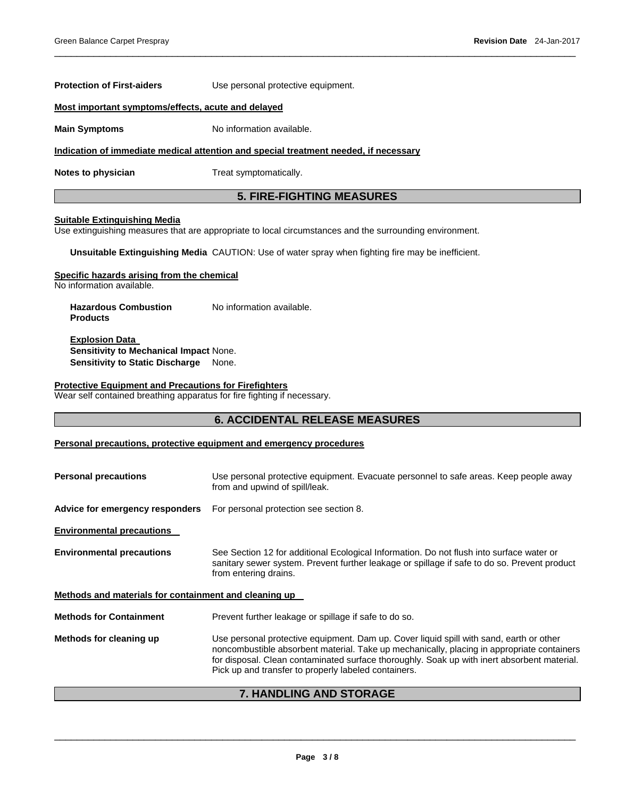# **Most important symptoms/effects, acute and delayed Main Symptoms No information available. Indication of immediate medical attention and special treatment needed, if necessary Notes to physician Treat symptomatically. 5. FIRE-FIGHTING MEASURES Suitable Extinguishing Media**

Use extinguishing measures that are appropriate to local circumstances and the surrounding environment.

**Unsuitable Extinguishing Media** CAUTION: Use of water spray when fighting fire may be inefficient.

#### **Specific hazards arising from the chemical**

No information available.

**Hazardous Combustion Products**  No information available.

**Protection of First-aiders** Use personal protective equipment.

**Explosion Data Sensitivity to Mechanical Impact** None. **Sensitivity to Static Discharge** None.

#### **Protective Equipment and Precautions for Firefighters**

Wear self contained breathing apparatus for fire fighting if necessary.

# **6. ACCIDENTAL RELEASE MEASURES**

 $\overline{\phantom{a}}$  , and the set of the set of the set of the set of the set of the set of the set of the set of the set of the set of the set of the set of the set of the set of the set of the set of the set of the set of the s

# **Personal precautions, protective equipment and emergency procedures**

| <b>Personal precautions</b>                           | Use personal protective equipment. Evacuate personnel to safe areas. Keep people away<br>from and upwind of spill/leak.                                                                                                                                                                                                                      |  |  |  |
|-------------------------------------------------------|----------------------------------------------------------------------------------------------------------------------------------------------------------------------------------------------------------------------------------------------------------------------------------------------------------------------------------------------|--|--|--|
| Advice for emergency responders                       | For personal protection see section 8.                                                                                                                                                                                                                                                                                                       |  |  |  |
| <b>Environmental precautions</b>                      |                                                                                                                                                                                                                                                                                                                                              |  |  |  |
| <b>Environmental precautions</b>                      | See Section 12 for additional Ecological Information. Do not flush into surface water or<br>sanitary sewer system. Prevent further leakage or spillage if safe to do so. Prevent product<br>from entering drains.                                                                                                                            |  |  |  |
| Methods and materials for containment and cleaning up |                                                                                                                                                                                                                                                                                                                                              |  |  |  |
| <b>Methods for Containment</b>                        | Prevent further leakage or spillage if safe to do so.                                                                                                                                                                                                                                                                                        |  |  |  |
| Methods for cleaning up                               | Use personal protective equipment. Dam up. Cover liquid spill with sand, earth or other<br>noncombustible absorbent material. Take up mechanically, placing in appropriate containers<br>for disposal. Clean contaminated surface thoroughly. Soak up with inert absorbent material.<br>Pick up and transfer to properly labeled containers. |  |  |  |

# **7. HANDLING AND STORAGE**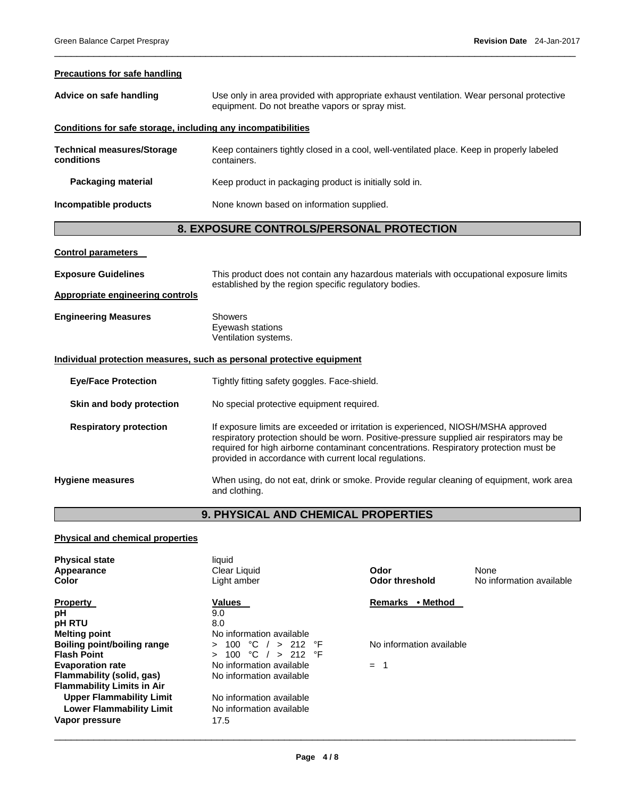#### **Precautions for safe handling**

| Advice on safe handling                                               | Use only in area provided with appropriate exhaust ventilation. Wear personal protective<br>equipment. Do not breathe vapors or spray mist.      |  |  |
|-----------------------------------------------------------------------|--------------------------------------------------------------------------------------------------------------------------------------------------|--|--|
| Conditions for safe storage, including any incompatibilities          |                                                                                                                                                  |  |  |
| <b>Technical measures/Storage</b><br>conditions                       | Keep containers tightly closed in a cool, well-ventilated place. Keep in properly labeled<br>containers.                                         |  |  |
| <b>Packaging material</b>                                             | Keep product in packaging product is initially sold in.                                                                                          |  |  |
| Incompatible products                                                 | None known based on information supplied.                                                                                                        |  |  |
| 8. EXPOSURE CONTROLS/PERSONAL PROTECTION                              |                                                                                                                                                  |  |  |
| <b>Control parameters</b>                                             |                                                                                                                                                  |  |  |
| <b>Exposure Guidelines</b>                                            | This product does not contain any hazardous materials with occupational exposure limits<br>established by the region specific regulatory bodies. |  |  |
| <b>Appropriate engineering controls</b>                               |                                                                                                                                                  |  |  |
| <b>Engineering Measures</b>                                           | Showers<br>Eyewash stations<br>Ventilation systems.                                                                                              |  |  |
| Individual protection measures, such as personal protective equipment |                                                                                                                                                  |  |  |

 $\overline{\phantom{a}}$  , and the set of the set of the set of the set of the set of the set of the set of the set of the set of the set of the set of the set of the set of the set of the set of the set of the set of the set of the s

**Eye/Face Protection Tightly fitting safety goggles. Face-shield.** 

**Skin and body protection** No special protective equipment required.

**Respiratory protection** If exposure limits are exceeded or irritation is experienced, NIOSH/MSHA approved respiratory protection should be worn. Positive-pressure supplied air respirators may be required for high airborne contaminant concentrations. Respiratory protection must be provided in accordance with current local regulations.

**Hygiene measures** When using, do not eat, drink or smoke. Provide regular cleaning of equipment, work area and clothing.

# **9. PHYSICAL AND CHEMICAL PROPERTIES**

# **Physical and chemical properties**

| liquid<br>Clear Liquid<br>Light amber   | Odor<br>Odor threshold                                                                                         | None<br>No information available |
|-----------------------------------------|----------------------------------------------------------------------------------------------------------------|----------------------------------|
| <b>Values</b>                           | • Method<br><b>Remarks</b>                                                                                     |                                  |
|                                         |                                                                                                                |                                  |
|                                         |                                                                                                                |                                  |
| $\degree$ C / > 212 $\degree$ F<br>100. | No information available                                                                                       |                                  |
|                                         |                                                                                                                |                                  |
| No information available                |                                                                                                                |                                  |
|                                         |                                                                                                                |                                  |
| No information available                |                                                                                                                |                                  |
| No information available                |                                                                                                                |                                  |
| 17.5                                    |                                                                                                                |                                  |
|                                         | 9.0<br>8.0<br>No information available<br>$^{\circ}$ C / > 212 $^{\circ}$ F<br>100<br>No information available | $=$                              |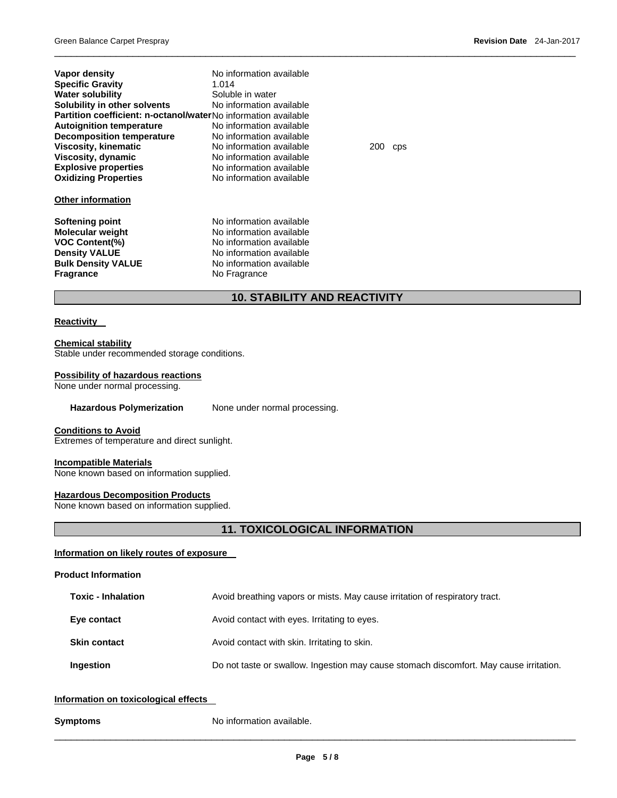| Vapor density                                                         | No information available |     |      |
|-----------------------------------------------------------------------|--------------------------|-----|------|
| <b>Specific Gravity</b>                                               | 1.014                    |     |      |
| <b>Water solubility</b>                                               | Soluble in water         |     |      |
| Solubility in other solvents                                          | No information available |     |      |
| <b>Partition coefficient: n-octanol/waterNo information available</b> |                          |     |      |
| <b>Autoignition temperature</b>                                       | No information available |     |      |
| <b>Decomposition temperature</b>                                      | No information available |     |      |
| Viscosity, kinematic                                                  | No information available | 200 | CDS. |
| Viscosity, dynamic                                                    | No information available |     |      |
| <b>Explosive properties</b>                                           | No information available |     |      |
| <b>Oxidizing Properties</b>                                           | No information available |     |      |
| <b>Other information</b>                                              |                          |     |      |
| Softening point                                                       | No information available |     |      |
| <b>Molecular weight</b>                                               | No information available |     |      |
| <b>VOC Content(%)</b>                                                 | No information available |     |      |
| <b>Density VALUE</b>                                                  | No information available |     |      |
| <b>Bulk Density VALUE</b>                                             | No information available |     |      |
| <b>Fragrance</b>                                                      | No Fragrance             |     |      |
|                                                                       |                          |     |      |

# **10. STABILITY AND REACTIVITY**

 $\overline{\phantom{a}}$  , and the set of the set of the set of the set of the set of the set of the set of the set of the set of the set of the set of the set of the set of the set of the set of the set of the set of the set of the s

# **Reactivity**

**Chemical stability** Stable under recommended storage conditions.

#### **Possibility of hazardous reactions**

None under normal processing.

Hazardous Polymerization None under normal processing.

# **Conditions to Avoid**

Extremes of temperature and direct sunlight.

# **Incompatible Materials**

None known based on information supplied.

# **Hazardous Decomposition Products**

None known based on information supplied.

# **11. TOXICOLOGICAL INFORMATION**

# **Information on likely routes of exposure**

#### **Product Information**

| <b>Toxic - Inhalation</b> | Avoid breathing vapors or mists. May cause irritation of respiratory tract.            |  |  |  |  |
|---------------------------|----------------------------------------------------------------------------------------|--|--|--|--|
| Eye contact               | Avoid contact with eyes. Irritating to eyes.                                           |  |  |  |  |
| <b>Skin contact</b>       | Avoid contact with skin. Irritating to skin.                                           |  |  |  |  |
| Ingestion                 | Do not taste or swallow. Ingestion may cause stomach discomfort. May cause irritation. |  |  |  |  |

# **Information on toxicological effects**

**Symptoms No information available.**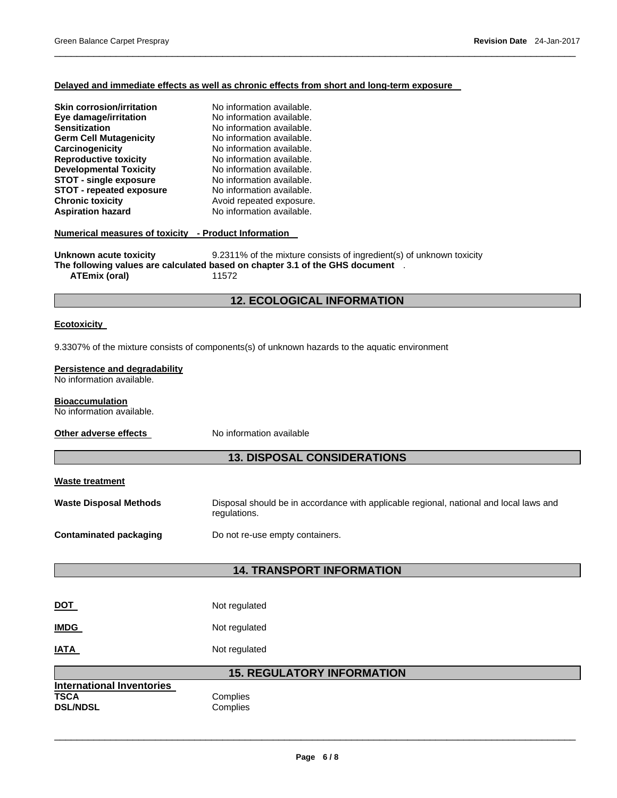# **Delayed and immediate effects as well as chronic effects from short and long-term exposure**

 $\overline{\phantom{a}}$  , and the set of the set of the set of the set of the set of the set of the set of the set of the set of the set of the set of the set of the set of the set of the set of the set of the set of the set of the s

| <b>Skin corrosion/irritation</b><br>Eye damage/irritation<br>Sensitization<br><b>Germ Cell Mutagenicity</b><br>Carcinogenicity<br><b>Reproductive toxicity</b><br><b>Developmental Toxicity</b><br><b>STOT - single exposure</b><br><b>STOT - repeated exposure</b><br><b>Chronic toxicity</b><br><b>Aspiration hazard</b><br>Numerical measures of toxicity - Product Information<br>Unknown acute toxicity | No information available.<br>No information available.<br>No information available.<br>No information available.<br>No information available.<br>No information available.<br>No information available.<br>No information available.<br>No information available.<br>Avoid repeated exposure.<br>No information available.<br>9.2311% of the mixture consists of ingredient(s) of unknown toxicity |  |  |  |  |  |  |  |
|--------------------------------------------------------------------------------------------------------------------------------------------------------------------------------------------------------------------------------------------------------------------------------------------------------------------------------------------------------------------------------------------------------------|----------------------------------------------------------------------------------------------------------------------------------------------------------------------------------------------------------------------------------------------------------------------------------------------------------------------------------------------------------------------------------------------------|--|--|--|--|--|--|--|
| <b>ATEmix (oral)</b>                                                                                                                                                                                                                                                                                                                                                                                         | The following values are calculated based on chapter 3.1 of the GHS document .<br>11572                                                                                                                                                                                                                                                                                                            |  |  |  |  |  |  |  |
|                                                                                                                                                                                                                                                                                                                                                                                                              | <b>12. ECOLOGICAL INFORMATION</b>                                                                                                                                                                                                                                                                                                                                                                  |  |  |  |  |  |  |  |
| <b>Ecotoxicity</b>                                                                                                                                                                                                                                                                                                                                                                                           |                                                                                                                                                                                                                                                                                                                                                                                                    |  |  |  |  |  |  |  |
|                                                                                                                                                                                                                                                                                                                                                                                                              | 9.3307% of the mixture consists of components(s) of unknown hazards to the aquatic environment                                                                                                                                                                                                                                                                                                     |  |  |  |  |  |  |  |
| Persistence and degradability<br>No information available.                                                                                                                                                                                                                                                                                                                                                   |                                                                                                                                                                                                                                                                                                                                                                                                    |  |  |  |  |  |  |  |
| <b>Bioaccumulation</b><br>No information available.                                                                                                                                                                                                                                                                                                                                                          |                                                                                                                                                                                                                                                                                                                                                                                                    |  |  |  |  |  |  |  |
| Other adverse effects                                                                                                                                                                                                                                                                                                                                                                                        | No information available                                                                                                                                                                                                                                                                                                                                                                           |  |  |  |  |  |  |  |
|                                                                                                                                                                                                                                                                                                                                                                                                              | <b>13. DISPOSAL CONSIDERATIONS</b>                                                                                                                                                                                                                                                                                                                                                                 |  |  |  |  |  |  |  |
| <b>Waste treatment</b>                                                                                                                                                                                                                                                                                                                                                                                       |                                                                                                                                                                                                                                                                                                                                                                                                    |  |  |  |  |  |  |  |
| <b>Waste Disposal Methods</b>                                                                                                                                                                                                                                                                                                                                                                                | Disposal should be in accordance with applicable regional, national and local laws and<br>regulations.                                                                                                                                                                                                                                                                                             |  |  |  |  |  |  |  |
| <b>Contaminated packaging</b>                                                                                                                                                                                                                                                                                                                                                                                | Do not re-use empty containers.                                                                                                                                                                                                                                                                                                                                                                    |  |  |  |  |  |  |  |
| <b>14. TRANSPORT INFORMATION</b>                                                                                                                                                                                                                                                                                                                                                                             |                                                                                                                                                                                                                                                                                                                                                                                                    |  |  |  |  |  |  |  |
|                                                                                                                                                                                                                                                                                                                                                                                                              |                                                                                                                                                                                                                                                                                                                                                                                                    |  |  |  |  |  |  |  |
| <u>DOT</u>                                                                                                                                                                                                                                                                                                                                                                                                   | Not regulated                                                                                                                                                                                                                                                                                                                                                                                      |  |  |  |  |  |  |  |
| <b>IMDG</b>                                                                                                                                                                                                                                                                                                                                                                                                  | Not regulated                                                                                                                                                                                                                                                                                                                                                                                      |  |  |  |  |  |  |  |
| IATA                                                                                                                                                                                                                                                                                                                                                                                                         | Not regulated                                                                                                                                                                                                                                                                                                                                                                                      |  |  |  |  |  |  |  |
|                                                                                                                                                                                                                                                                                                                                                                                                              | <b>15. REGULATORY INFORMATION</b>                                                                                                                                                                                                                                                                                                                                                                  |  |  |  |  |  |  |  |
| <b>International Inventories</b><br><b>TSCA</b><br><b>DSL/NDSL</b>                                                                                                                                                                                                                                                                                                                                           | Complies<br>Complies                                                                                                                                                                                                                                                                                                                                                                               |  |  |  |  |  |  |  |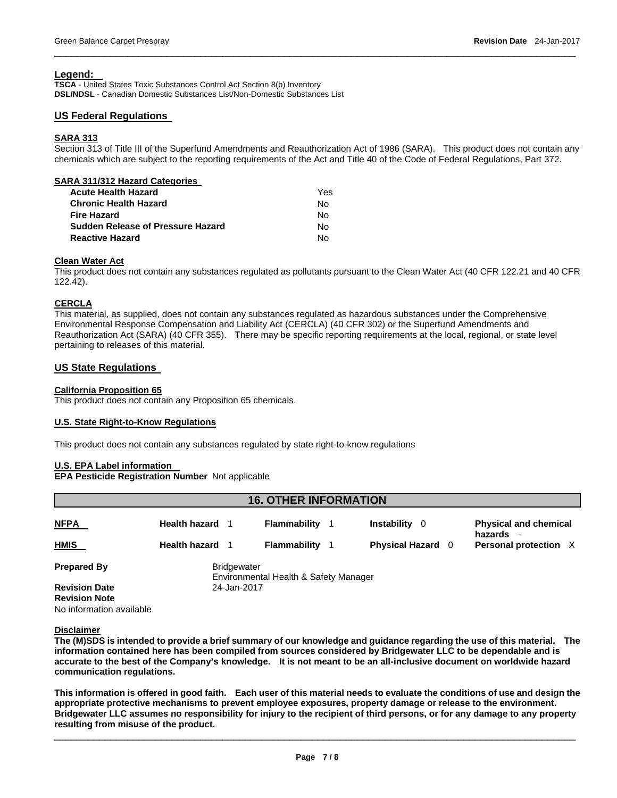# **Legend:**

**TSCA** - United States Toxic Substances Control Act Section 8(b) Inventory **DSL/NDSL** - Canadian Domestic Substances List/Non-Domestic Substances List

# **US Federal Regulations**

# **SARA 313**

Section 313 of Title III of the Superfund Amendments and Reauthorization Act of 1986 (SARA). This product does not contain any chemicals which are subject to the reporting requirements of the Act and Title 40 of the Code of Federal Regulations, Part 372.

 $\overline{\phantom{a}}$  , and the set of the set of the set of the set of the set of the set of the set of the set of the set of the set of the set of the set of the set of the set of the set of the set of the set of the set of the s

| SARA 311/312 Hazard Categories           |     |
|------------------------------------------|-----|
| <b>Acute Health Hazard</b>               | Yes |
| <b>Chronic Health Hazard</b>             | No  |
| <b>Fire Hazard</b>                       | No  |
| <b>Sudden Release of Pressure Hazard</b> | No  |
| <b>Reactive Hazard</b>                   | N٥  |
|                                          |     |

# **Clean Water Act**

This product does not contain any substances regulated as pollutants pursuant to the Clean Water Act (40 CFR 122.21 and 40 CFR 122.42).

# **CERCLA**

This material, as supplied, does not contain any substances regulated as hazardous substances under the Comprehensive Environmental Response Compensation and Liability Act (CERCLA) (40 CFR 302) or the Superfund Amendments and Reauthorization Act (SARA) (40 CFR 355). There may be specific reporting requirements at the local, regional, or state level pertaining to releases of this material.

# **US State Regulations**

# **California Proposition 65**

This product does not contain any Proposition 65 chemicals.

# **U.S. State Right-to-Know Regulations**

This product does not contain any substances regulated by state right-to-know regulations

# **U.S. EPA Label information**

**EPA Pesticide Registration Number** Not applicable

| <b>16. OTHER INFORMATION</b>                 |                        |                    |                                       |  |                          |  |                                           |  |  |
|----------------------------------------------|------------------------|--------------------|---------------------------------------|--|--------------------------|--|-------------------------------------------|--|--|
| <u>NFPA</u>                                  | <b>Health hazard</b> 1 |                    | Flammability                          |  | <b>Instability</b> 0     |  | <b>Physical and chemical</b><br>hazards - |  |  |
| HMIS                                         | Health hazard 1        |                    | Flammability                          |  | <b>Physical Hazard</b> 0 |  | Personal protection X                     |  |  |
| <b>Prepared By</b>                           |                        | <b>Bridgewater</b> | Environmental Health & Safety Manager |  |                          |  |                                           |  |  |
| <b>Revision Date</b><br><b>Revision Note</b> |                        | 24-Jan-2017        |                                       |  |                          |  |                                           |  |  |
| No information available                     |                        |                    |                                       |  |                          |  |                                           |  |  |

# **Disclaimer**

**The (M)SDS is intended to provide a brief summary of our knowledge and guidance regarding the use of this material. The information contained here has been compiled from sources considered by Bridgewater LLC to be dependable and is accurate to the best of the Company's knowledge. It is not meant to be an all-inclusive document on worldwide hazard communication regulations.** 

**This information is offered in good faith. Each user of this material needs to evaluate the conditions of use and design the appropriate protective mechanisms to prevent employee exposures, property damage or release to the environment. Bridgewater LLC assumes no responsibility for injury to the recipient of third persons, or for any damage to any property resulting from misuse of the product.**